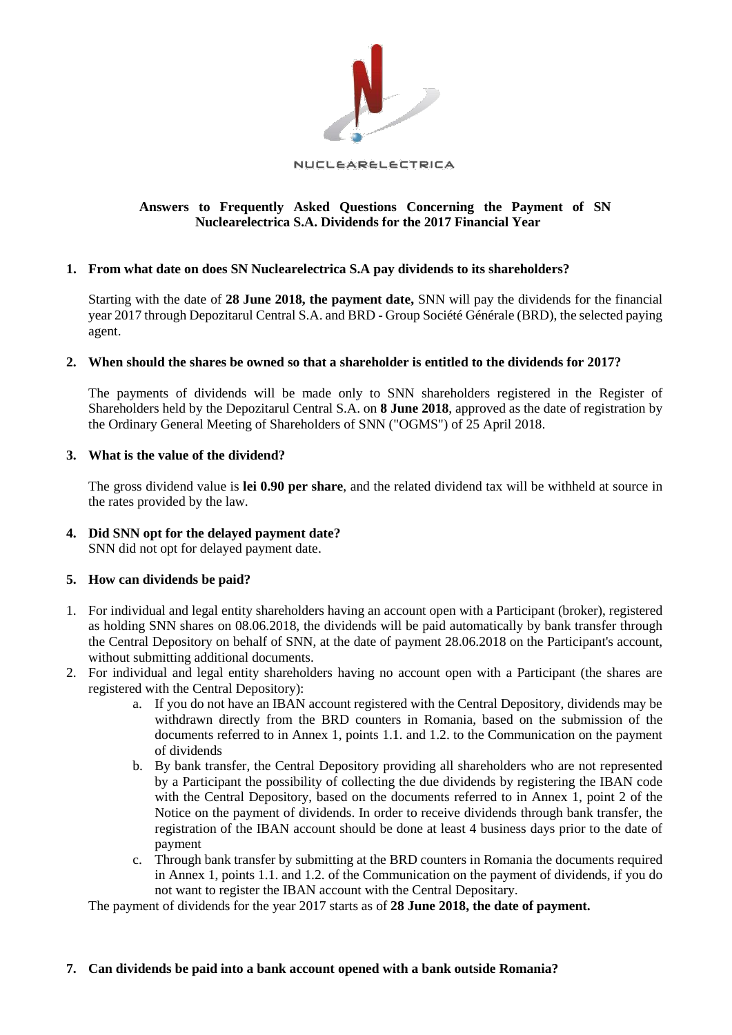

#### NUCLEARELECTRICA

# **Answers to Frequently Asked Questions Concerning the Payment of SN Nuclearelectrica S.A. Dividends for the 2017 Financial Year**

## **1. From what date on does SN Nuclearelectrica S.A pay dividends to its shareholders?**

Starting with the date of **28 June 2018, the payment date,** SNN will pay the dividends for the financial year 2017 through Depozitarul Central S.A. and BRD - Group Société Générale (BRD), the selected paying agent.

## **2. When should the shares be owned so that a shareholder is entitled to the dividends for 2017?**

The payments of dividends will be made only to SNN shareholders registered in the Register of Shareholders held by the Depozitarul Central S.A. on **8 June 2018**, approved as the date of registration by the Ordinary General Meeting of Shareholders of SNN ("OGMS") of 25 April 2018.

## **3. What is the value of the dividend?**

The gross dividend value is **lei 0.90 per share**, and the related dividend tax will be withheld at source in the rates provided by the law.

#### **4. Did SNN opt for the delayed payment date?**  SNN did not opt for delayed payment date.

# **5. How can dividends be paid?**

- 1. For individual and legal entity shareholders having an account open with a Participant (broker), registered as holding SNN shares on 08.06.2018, the dividends will be paid automatically by bank transfer through the Central Depository on behalf of SNN, at the date of payment 28.06.2018 on the Participant's account, without submitting additional documents.
- 2. For individual and legal entity shareholders having no account open with a Participant (the shares are registered with the Central Depository):
	- a. If you do not have an IBAN account registered with the Central Depository, dividends may be withdrawn directly from the BRD counters in Romania, based on the submission of the documents referred to in Annex 1, points 1.1. and 1.2. to the Communication on the payment of dividends
	- b. By bank transfer, the Central Depository providing all shareholders who are not represented by a Participant the possibility of collecting the due dividends by registering the IBAN code with the Central Depository, based on the documents referred to in Annex 1, point 2 of the Notice on the payment of dividends. In order to receive dividends through bank transfer, the registration of the IBAN account should be done at least 4 business days prior to the date of payment
	- c. Through bank transfer by submitting at the BRD counters in Romania the documents required in Annex 1, points 1.1. and 1.2. of the Communication on the payment of dividends, if you do not want to register the IBAN account with the Central Depositary.

The payment of dividends for the year 2017 starts as of **28 June 2018, the date of payment.** 

## **7. Can dividends be paid into a bank account opened with a bank outside Romania?**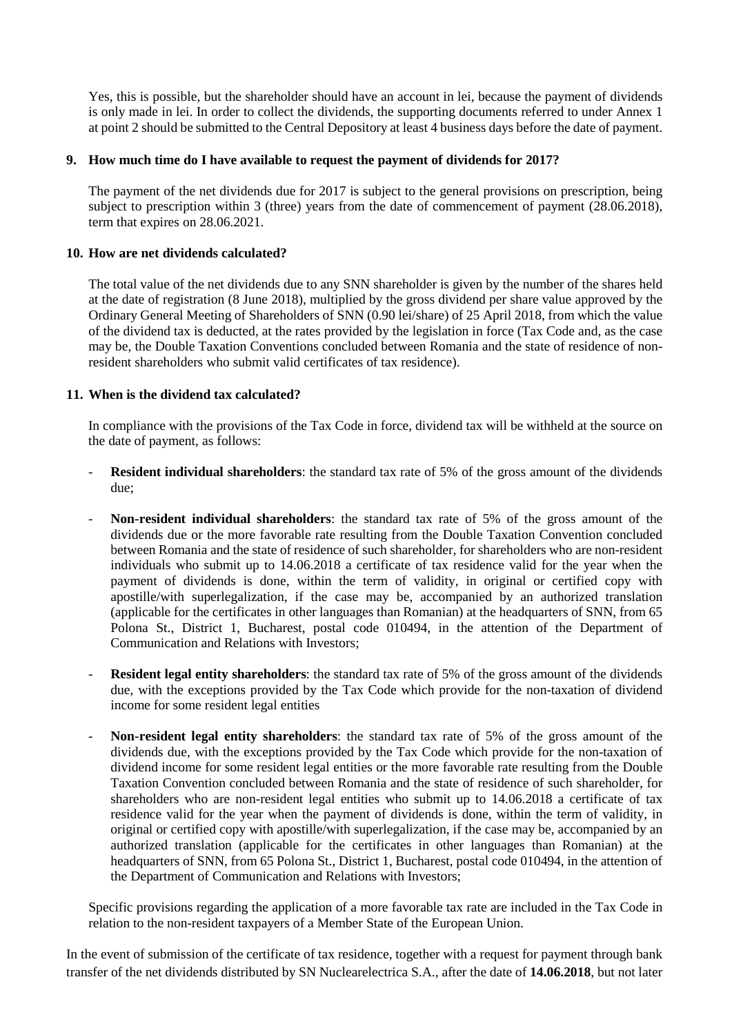Yes, this is possible, but the shareholder should have an account in lei, because the payment of dividends is only made in lei. In order to collect the dividends, the supporting documents referred to under Annex 1 at point 2 should be submitted to the Central Depository at least 4 business days before the date of payment.

## **9. How much time do I have available to request the payment of dividends for 2017?**

The payment of the net dividends due for 2017 is subject to the general provisions on prescription, being subject to prescription within 3 (three) years from the date of commencement of payment (28.06.2018), term that expires on 28.06.2021.

## **10. How are net dividends calculated?**

The total value of the net dividends due to any SNN shareholder is given by the number of the shares held at the date of registration (8 June 2018), multiplied by the gross dividend per share value approved by the Ordinary General Meeting of Shareholders of SNN (0.90 lei/share) of 25 April 2018, from which the value of the dividend tax is deducted, at the rates provided by the legislation in force (Tax Code and, as the case may be, the Double Taxation Conventions concluded between Romania and the state of residence of nonresident shareholders who submit valid certificates of tax residence).

# **11. When is the dividend tax calculated?**

In compliance with the provisions of the Tax Code in force, dividend tax will be withheld at the source on the date of payment, as follows:

- **Resident individual shareholders**: the standard tax rate of 5% of the gross amount of the dividends due;
- **Non-resident individual shareholders**: the standard tax rate of 5% of the gross amount of the dividends due or the more favorable rate resulting from the Double Taxation Convention concluded between Romania and the state of residence of such shareholder, for shareholders who are non-resident individuals who submit up to 14.06.2018 a certificate of tax residence valid for the year when the payment of dividends is done, within the term of validity, in original or certified copy with apostille/with superlegalization, if the case may be, accompanied by an authorized translation (applicable for the certificates in other languages than Romanian) at the headquarters of SNN, from 65 Polona St., District 1, Bucharest, postal code 010494, in the attention of the Department of Communication and Relations with Investors;
- **Resident legal entity shareholders**: the standard tax rate of 5% of the gross amount of the dividends due, with the exceptions provided by the Tax Code which provide for the non-taxation of dividend income for some resident legal entities
- **Non-resident legal entity shareholders**: the standard tax rate of 5% of the gross amount of the dividends due, with the exceptions provided by the Tax Code which provide for the non-taxation of dividend income for some resident legal entities or the more favorable rate resulting from the Double Taxation Convention concluded between Romania and the state of residence of such shareholder, for shareholders who are non-resident legal entities who submit up to 14.06.2018 a certificate of tax residence valid for the year when the payment of dividends is done, within the term of validity, in original or certified copy with apostille/with superlegalization, if the case may be, accompanied by an authorized translation (applicable for the certificates in other languages than Romanian) at the headquarters of SNN, from 65 Polona St., District 1, Bucharest, postal code 010494, in the attention of the Department of Communication and Relations with Investors;

Specific provisions regarding the application of a more favorable tax rate are included in the Tax Code in relation to the non-resident taxpayers of a Member State of the European Union.

In the event of submission of the certificate of tax residence, together with a request for payment through bank transfer of the net dividends distributed by SN Nuclearelectrica S.A., after the date of **14.06.2018**, but not later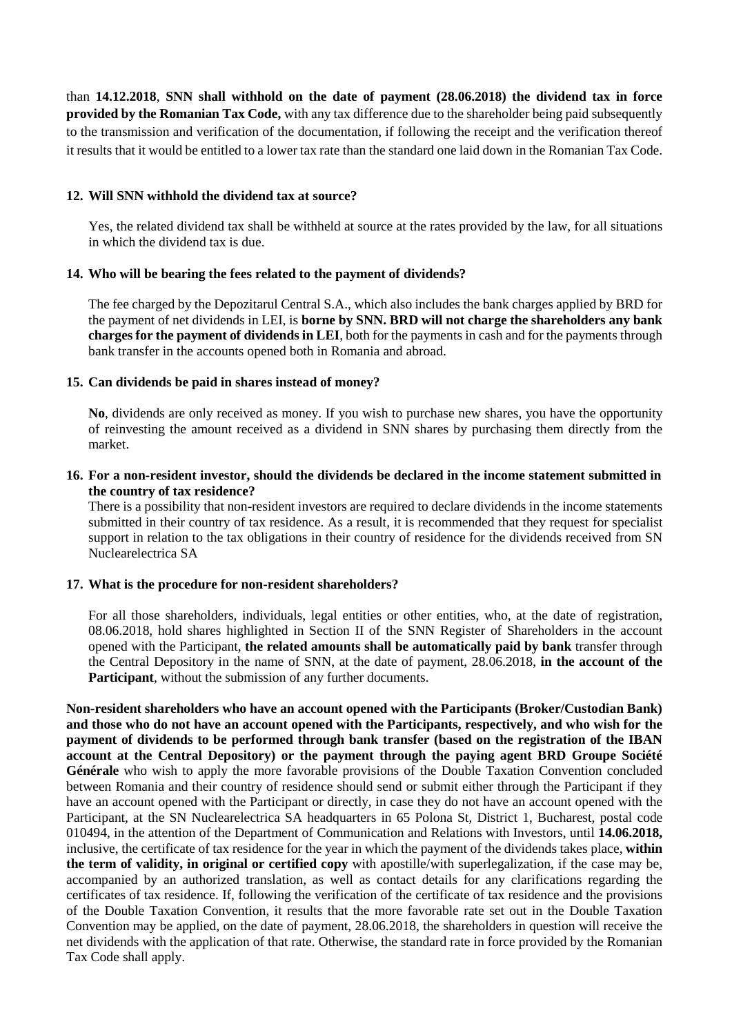than **14.12.2018**, **SNN shall withhold on the date of payment (28.06.2018) the dividend tax in force provided by the Romanian Tax Code,** with any tax difference due to the shareholder being paid subsequently to the transmission and verification of the documentation, if following the receipt and the verification thereof it results that it would be entitled to a lower tax rate than the standard one laid down in the Romanian Tax Code.

## **12. Will SNN withhold the dividend tax at source?**

Yes, the related dividend tax shall be withheld at source at the rates provided by the law, for all situations in which the dividend tax is due.

# **14. Who will be bearing the fees related to the payment of dividends?**

The fee charged by the Depozitarul Central S.A., which also includes the bank charges applied by BRD for the payment of net dividends in LEI, is **borne by SNN. BRD will not charge the shareholders any bank charges for the payment of dividends in LEI**, both for the payments in cash and for the payments through bank transfer in the accounts opened both in Romania and abroad.

# **15. Can dividends be paid in shares instead of money?**

**No**, dividends are only received as money. If you wish to purchase new shares, you have the opportunity of reinvesting the amount received as a dividend in SNN shares by purchasing them directly from the market.

## **16. For a non-resident investor, should the dividends be declared in the income statement submitted in the country of tax residence?**

There is a possibility that non-resident investors are required to declare dividends in the income statements submitted in their country of tax residence. As a result, it is recommended that they request for specialist support in relation to the tax obligations in their country of residence for the dividends received from SN Nuclearelectrica SA

## **17. What is the procedure for non-resident shareholders?**

For all those shareholders, individuals, legal entities or other entities, who, at the date of registration, 08.06.2018, hold shares highlighted in Section II of the SNN Register of Shareholders in the account opened with the Participant, **the related amounts shall be automatically paid by bank** transfer through the Central Depository in the name of SNN, at the date of payment, 28.06.2018, **in the account of the Participant**, without the submission of any further documents.

**Non-resident shareholders who have an account opened with the Participants (Broker/Custodian Bank) and those who do not have an account opened with the Participants, respectively, and who wish for the payment of dividends to be performed through bank transfer (based on the registration of the IBAN account at the Central Depository) or the payment through the paying agent BRD Groupe Société Générale** who wish to apply the more favorable provisions of the Double Taxation Convention concluded between Romania and their country of residence should send or submit either through the Participant if they have an account opened with the Participant or directly, in case they do not have an account opened with the Participant, at the SN Nuclearelectrica SA headquarters in 65 Polona St, District 1, Bucharest, postal code 010494, in the attention of the Department of Communication and Relations with Investors, until **14.06.2018,** inclusive, the certificate of tax residence for the year in which the payment of the dividends takes place, **within the term of validity, in original or certified copy** with apostille/with superlegalization, if the case may be, accompanied by an authorized translation, as well as contact details for any clarifications regarding the certificates of tax residence. If, following the verification of the certificate of tax residence and the provisions of the Double Taxation Convention, it results that the more favorable rate set out in the Double Taxation Convention may be applied, on the date of payment, 28.06.2018, the shareholders in question will receive the net dividends with the application of that rate. Otherwise, the standard rate in force provided by the Romanian Tax Code shall apply.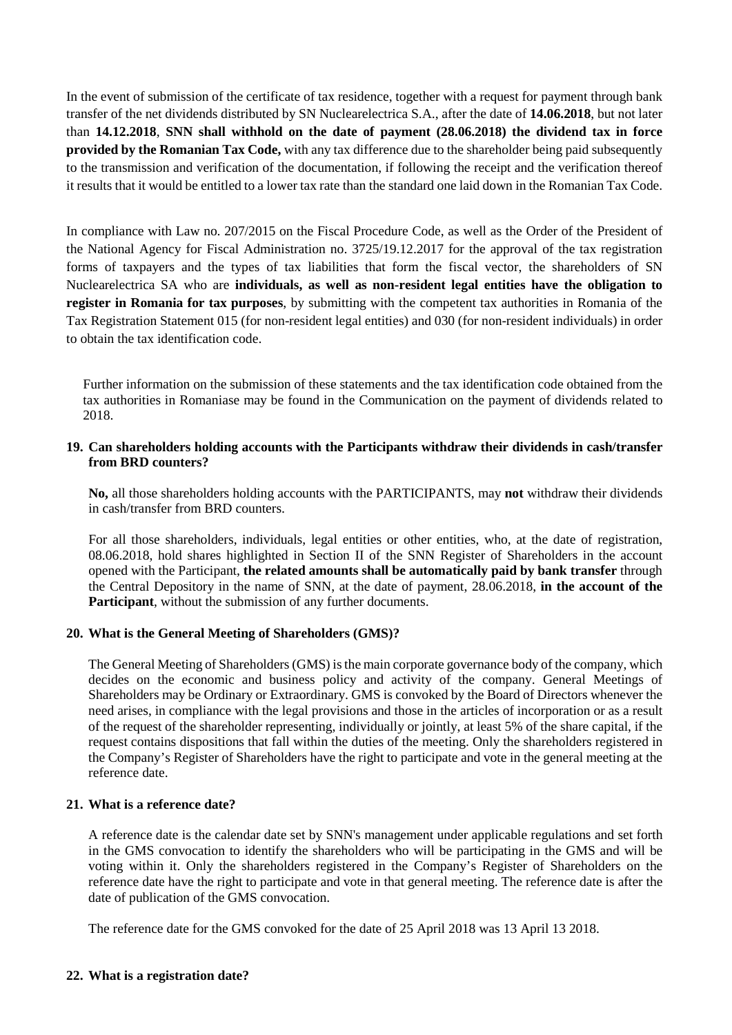In the event of submission of the certificate of tax residence, together with a request for payment through bank transfer of the net dividends distributed by SN Nuclearelectrica S.A., after the date of **14.06.2018**, but not later than **14.12.2018**, **SNN shall withhold on the date of payment (28.06.2018) the dividend tax in force provided by the Romanian Tax Code,** with any tax difference due to the shareholder being paid subsequently to the transmission and verification of the documentation, if following the receipt and the verification thereof it results that it would be entitled to a lower tax rate than the standard one laid down in the Romanian Tax Code.

In compliance with Law no. 207/2015 on the Fiscal Procedure Code, as well as the Order of the President of the National Agency for Fiscal Administration no. 3725/19.12.2017 for the approval of the tax registration forms of taxpayers and the types of tax liabilities that form the fiscal vector, the shareholders of SN Nuclearelectrica SA who are **individuals, as well as non-resident legal entities have the obligation to register in Romania for tax purposes**, by submitting with the competent tax authorities in Romania of the Tax Registration Statement 015 (for non-resident legal entities) and 030 (for non-resident individuals) in order to obtain the tax identification code.

Further information on the submission of these statements and the tax identification code obtained from the tax authorities in Romaniase may be found in the Communication on the payment of dividends related to 2018.

## **19. Can shareholders holding accounts with the Participants withdraw their dividends in cash/transfer from BRD counters?**

**No,** all those shareholders holding accounts with the PARTICIPANTS, may **not** withdraw their dividends in cash/transfer from BRD counters.

For all those shareholders, individuals, legal entities or other entities, who, at the date of registration, 08.06.2018, hold shares highlighted in Section II of the SNN Register of Shareholders in the account opened with the Participant, **the related amounts shall be automatically paid by bank transfer** through the Central Depository in the name of SNN, at the date of payment, 28.06.2018, **in the account of the Participant**, without the submission of any further documents.

## **20. What is the General Meeting of Shareholders (GMS)?**

The General Meeting of Shareholders (GMS) is the main corporate governance body of the company, which decides on the economic and business policy and activity of the company. General Meetings of Shareholders may be Ordinary or Extraordinary. GMS is convoked by the Board of Directors whenever the need arises, in compliance with the legal provisions and those in the articles of incorporation or as a result of the request of the shareholder representing, individually or jointly, at least 5% of the share capital, if the request contains dispositions that fall within the duties of the meeting. Only the shareholders registered in the Company's Register of Shareholders have the right to participate and vote in the general meeting at the reference date.

#### **21. What is a reference date?**

A reference date is the calendar date set by SNN's management under applicable regulations and set forth in the GMS convocation to identify the shareholders who will be participating in the GMS and will be voting within it. Only the shareholders registered in the Company's Register of Shareholders on the reference date have the right to participate and vote in that general meeting. The reference date is after the date of publication of the GMS convocation.

The reference date for the GMS convoked for the date of 25 April 2018 was 13 April 13 2018.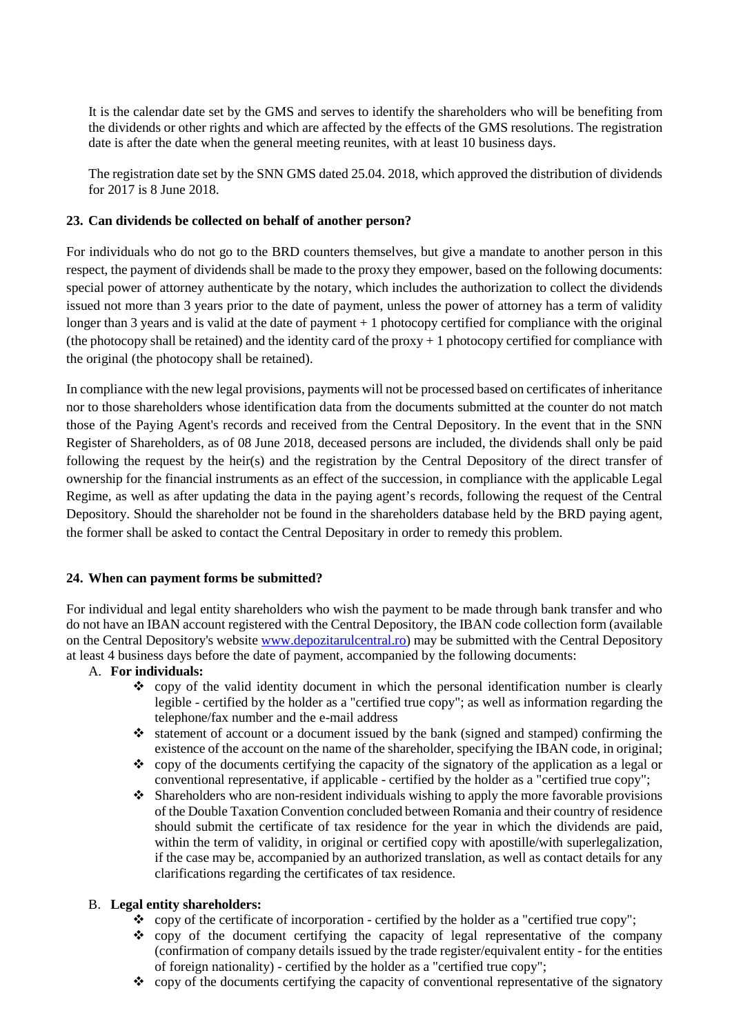It is the calendar date set by the GMS and serves to identify the shareholders who will be benefiting from the dividends or other rights and which are affected by the effects of the GMS resolutions. The registration date is after the date when the general meeting reunites, with at least 10 business days.

The registration date set by the SNN GMS dated 25.04. 2018, which approved the distribution of dividends for 2017 is 8 June 2018.

# **23. Can dividends be collected on behalf of another person?**

For individuals who do not go to the BRD counters themselves, but give a mandate to another person in this respect, the payment of dividends shall be made to the proxy they empower, based on the following documents: special power of attorney authenticate by the notary, which includes the authorization to collect the dividends issued not more than 3 years prior to the date of payment, unless the power of attorney has a term of validity longer than 3 years and is valid at the date of payment + 1 photocopy certified for compliance with the original (the photocopy shall be retained) and the identity card of the proxy  $+1$  photocopy certified for compliance with the original (the photocopy shall be retained).

In compliance with the new legal provisions, payments will not be processed based on certificates of inheritance nor to those shareholders whose identification data from the documents submitted at the counter do not match those of the Paying Agent's records and received from the Central Depository. In the event that in the SNN Register of Shareholders, as of 08 June 2018, deceased persons are included, the dividends shall only be paid following the request by the heir(s) and the registration by the Central Depository of the direct transfer of ownership for the financial instruments as an effect of the succession, in compliance with the applicable Legal Regime, as well as after updating the data in the paying agent's records, following the request of the Central Depository. Should the shareholder not be found in the shareholders database held by the BRD paying agent, the former shall be asked to contact the Central Depositary in order to remedy this problem.

## **24. When can payment forms be submitted?**

For individual and legal entity shareholders who wish the payment to be made through bank transfer and who do not have an IBAN account registered with the Central Depository, the IBAN code collection form (available on the Central Depository's website [www.depozitarulcentral.ro\)](http://www.depozitarulcentral.ro/) may be submitted with the Central Depository at least 4 business days before the date of payment, accompanied by the following documents:

## A. **For individuals:**

- $\diamond$  copy of the valid identity document in which the personal identification number is clearly legible - certified by the holder as a "certified true copy"; as well as information regarding the telephone/fax number and the e-mail address
- $\cdot$  statement of account or a document issued by the bank (signed and stamped) confirming the existence of the account on the name of the shareholder, specifying the IBAN code, in original;
- $\bullet$  copy of the documents certifying the capacity of the signatory of the application as a legal or conventional representative, if applicable - certified by the holder as a "certified true copy";
- Shareholders who are non-resident individuals wishing to apply the more favorable provisions of the Double Taxation Convention concluded between Romania and their country of residence should submit the certificate of tax residence for the year in which the dividends are paid, within the term of validity, in original or certified copy with apostille/with superlegalization, if the case may be, accompanied by an authorized translation, as well as contact details for any clarifications regarding the certificates of tax residence.

## B. **Legal entity shareholders:**

- \* copy of the certificate of incorporation certified by the holder as a "certified true copy";
- $\bullet$  copy of the document certifying the capacity of legal representative of the company (confirmation of company details issued by the trade register/equivalent entity - for the entities of foreign nationality) - certified by the holder as a "certified true copy";
- $\bullet$  copy of the documents certifying the capacity of conventional representative of the signatory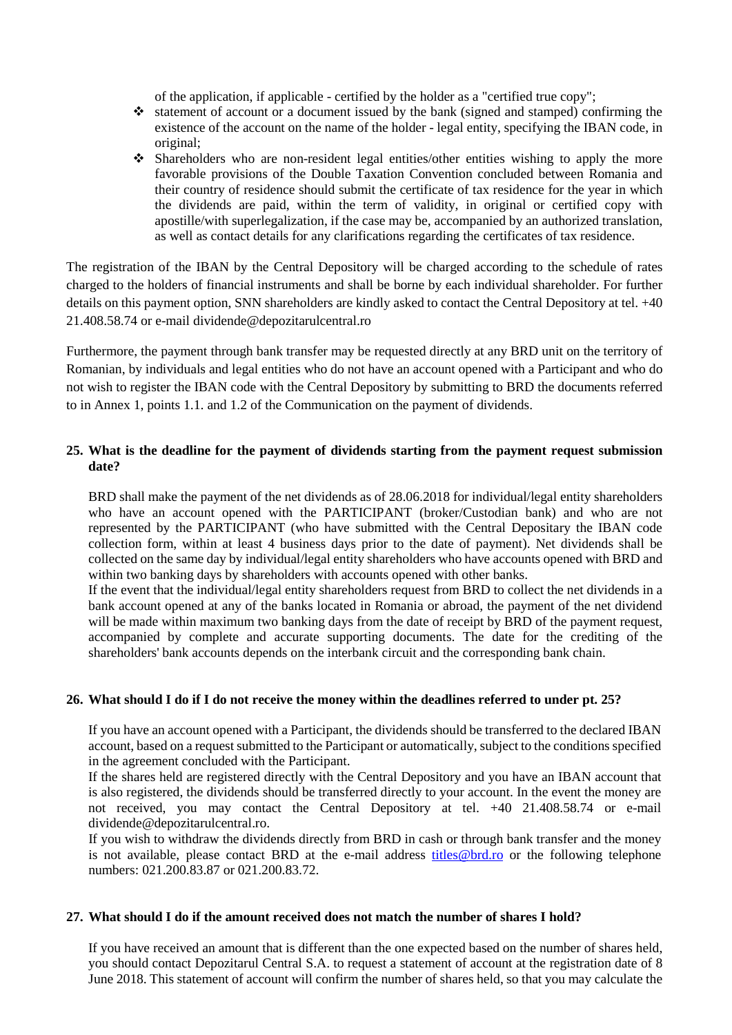of the application, if applicable - certified by the holder as a "certified true copy";

- statement of account or a document issued by the bank (signed and stamped) confirming the existence of the account on the name of the holder - legal entity, specifying the IBAN code, in original;
- Shareholders who are non-resident legal entities/other entities wishing to apply the more favorable provisions of the Double Taxation Convention concluded between Romania and their country of residence should submit the certificate of tax residence for the year in which the dividends are paid, within the term of validity, in original or certified copy with apostille/with superlegalization, if the case may be, accompanied by an authorized translation, as well as contact details for any clarifications regarding the certificates of tax residence.

The registration of the IBAN by the Central Depository will be charged according to the schedule of rates charged to the holders of financial instruments and shall be borne by each individual shareholder. For further details on this payment option, SNN shareholders are kindly asked to contact the Central Depository at tel. +40 21.408.58.74 or e-mail dividende@depozitarulcentral.ro

Furthermore, the payment through bank transfer may be requested directly at any BRD unit on the territory of Romanian, by individuals and legal entities who do not have an account opened with a Participant and who do not wish to register the IBAN code with the Central Depository by submitting to BRD the documents referred to in Annex 1, points 1.1. and 1.2 of the Communication on the payment of dividends.

# **25. What is the deadline for the payment of dividends starting from the payment request submission date?**

BRD shall make the payment of the net dividends as of 28.06.2018 for individual/legal entity shareholders who have an account opened with the PARTICIPANT (broker/Custodian bank) and who are not represented by the PARTICIPANT (who have submitted with the Central Depositary the IBAN code collection form, within at least 4 business days prior to the date of payment). Net dividends shall be collected on the same day by individual/legal entity shareholders who have accounts opened with BRD and within two banking days by shareholders with accounts opened with other banks.

If the event that the individual/legal entity shareholders request from BRD to collect the net dividends in a bank account opened at any of the banks located in Romania or abroad, the payment of the net dividend will be made within maximum two banking days from the date of receipt by BRD of the payment request, accompanied by complete and accurate supporting documents. The date for the crediting of the shareholders' bank accounts depends on the interbank circuit and the corresponding bank chain.

## **26. What should I do if I do not receive the money within the deadlines referred to under pt. 25?**

If you have an account opened with a Participant, the dividends should be transferred to the declared IBAN account, based on a request submitted to the Participant or automatically, subject to the conditions specified in the agreement concluded with the Participant.

If the shares held are registered directly with the Central Depository and you have an IBAN account that is also registered, the dividends should be transferred directly to your account. In the event the money are not received, you may contact the Central Depository at tel. +40 21.408.58.74 or e-mail dividende@depozitarulcentral.ro.

If you wish to withdraw the dividends directly from BRD in cash or through bank transfer and the money is not available, please contact BRD at the e-mail address titles@brd.ro or the following telephone numbers: 021.200.83.87 or 021.200.83.72.

## **27. What should I do if the amount received does not match the number of shares I hold?**

If you have received an amount that is different than the one expected based on the number of shares held, you should contact Depozitarul Central S.A. to request a statement of account at the registration date of 8 June 2018. This statement of account will confirm the number of shares held, so that you may calculate the